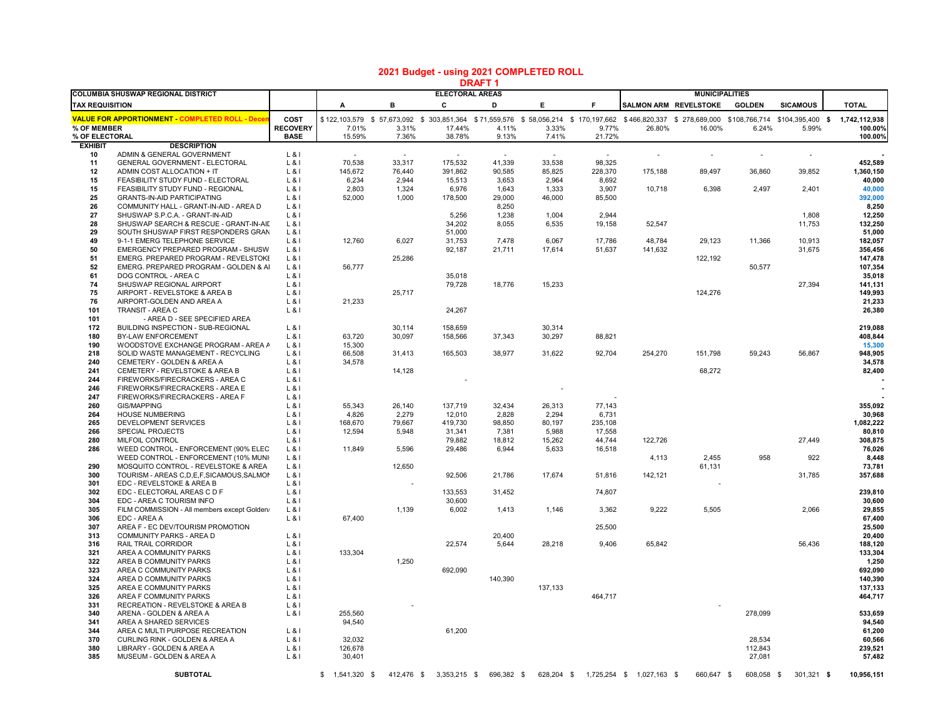## **2021 Budget - using 2021 COMPLETED ROLL**

|                               |                                                                      |                                |                   |                  |                             | DRAF I          |                  |                  |                           |                       |                          |                                                                                                                                             |                    |
|-------------------------------|----------------------------------------------------------------------|--------------------------------|-------------------|------------------|-----------------------------|-----------------|------------------|------------------|---------------------------|-----------------------|--------------------------|---------------------------------------------------------------------------------------------------------------------------------------------|--------------------|
| <b>TAX REQUISITION</b>        | <b>COLUMBIA SHUSWAP REGIONAL DISTRICT</b>                            |                                | A                 | в                | <b>ELECTORAL AREAS</b><br>c | D               | Е                | F                | SALMON ARM REVELSTOKE     | <b>MUNICIPALITIES</b> | <b>GOLDEN</b>            | <b>SICAMOUS</b>                                                                                                                             | <b>TOTAL</b>       |
|                               |                                                                      |                                |                   |                  |                             |                 |                  |                  |                           |                       |                          |                                                                                                                                             |                    |
|                               | <b>VALUE FOR APPORTIONMENT COMPLETED ROLL - Decer</b>                | COST                           |                   |                  |                             |                 |                  |                  |                           |                       |                          | \$122,103,579 \$57,673,092 \$303,851,364 \$71,559,576 \$58,056,214 \$170,197,662 \$466,820,337 \$278,689,000 \$108,766,714 \$104,395,400 \$ | 1,742,112,938      |
| % OF MEMBER<br>% OF ELECTORAL |                                                                      | <b>RECOVERY</b><br><b>BASE</b> | 7.01%<br>15.59%   | 3.31%<br>7.36%   | 17.44%<br>38.78%            | 4.11%<br>9.13%  | 3.33%<br>7.41%   | 9.77%<br>21.72%  | 26.80%                    | 16.00%                | 6.24%                    | 5.99%                                                                                                                                       | 100.00%<br>100.00% |
| <b>EXHIBIT</b>                | <b>DESCRIPTION</b>                                                   |                                |                   |                  |                             |                 |                  |                  |                           |                       |                          |                                                                                                                                             |                    |
| 10                            | ADMIN & GENERAL GOVERNMENT                                           | $L$ & $I$                      | $\sim$            | $\sim$           | $\sim$                      | $\sim$          | $\sim$           | $\sim$           |                           | $\sim$                | $\overline{\phantom{a}}$ | $\sim$                                                                                                                                      |                    |
| 11                            | GENERAL GOVERNMENT - ELECTORAL                                       | $L$ &I                         | 70,538            | 33,317           | 175,532                     | 41,339          | 33,538           | 98,325           |                           |                       |                          |                                                                                                                                             | 452,589            |
| 12                            | ADMIN COST ALLOCATION + IT                                           | $L$ &l                         | 145,672           | 76,440           | 391,862                     | 90,585          | 85,825           | 228,370          | 175,188                   | 89,497                | 36,860                   | 39,852                                                                                                                                      | 1,360,150          |
| 15                            | FEASIBILITY STUDY FUND - ELECTORAL                                   | $L$ & I                        | 6,234             | 2,944            | 15,513                      | 3,653           | 2,964            | 8,692            |                           |                       |                          |                                                                                                                                             | 40,000             |
| 15                            | FEASIBILITY STUDY FUND - REGIONAL                                    | $L$ &I                         | 2,803             | 1,324            | 6,976                       | 1,643           | 1,333            | 3,907            | 10,718                    | 6,398                 | 2,497                    | 2,401                                                                                                                                       | 40,000             |
| 25                            | <b>GRANTS-IN-AID PARTICIPATING</b>                                   | $L$ &I                         | 52,000            | 1,000            | 178,500                     | 29,000          | 46,000           | 85,500           |                           |                       |                          |                                                                                                                                             | 392,000            |
| 26                            | COMMUNITY HALL - GRANT-IN-AID - AREA D                               | $L$ & $I$                      |                   |                  |                             | 8,250           |                  |                  |                           |                       |                          |                                                                                                                                             | 8,250              |
| 27                            | SHUSWAP S.P.C.A. - GRANT-IN-AID                                      | $L$ &I                         |                   |                  | 5,256                       | 1,238           | 1,004            | 2,944            |                           |                       |                          | 1,808                                                                                                                                       | 12,250             |
| 28<br>29                      | SHUSWAP SEARCH & RESCUE - GRANT-IN-AID                               | $L$ &I                         |                   |                  | 34,202<br>51,000            | 8,055           | 6,535            | 19,158           | 52,547                    |                       |                          | 11,753                                                                                                                                      | 132,250            |
| 49                            | SOUTH SHUSWAP FIRST RESPONDERS GRAN<br>9-1-1 EMERG TELEPHONE SERVICE | $L$ &I<br>$L$ &I               | 12,760            | 6,027            | 31,753                      | 7,478           | 6,067            | 17,786           | 48,784                    | 29,123                | 11,366                   | 10,913                                                                                                                                      | 51,000<br>182,057  |
| 50                            | EMERGENCY PREPARED PROGRAM - SHUSW.                                  | $L$ &I                         |                   |                  | 92,187                      | 21,711          | 17,614           | 51,637           | 141,632                   |                       |                          | 31,675                                                                                                                                      | 356,456            |
| 51                            | EMERG. PREPARED PROGRAM - REVELSTOKE                                 | $L$ & I                        |                   | 25,286           |                             |                 |                  |                  |                           | 122,192               |                          |                                                                                                                                             | 147,478            |
| 52                            | EMERG. PREPARED PROGRAM - GOLDEN & AI                                | $L$ &l                         | 56,777            |                  |                             |                 |                  |                  |                           |                       | 50,577                   |                                                                                                                                             | 107,354            |
| 61                            | DOG CONTROL - AREA C                                                 | $L$ & I                        |                   |                  | 35.018                      |                 |                  |                  |                           |                       |                          |                                                                                                                                             | 35.018             |
| 74                            | SHUSWAP REGIONAL AIRPORT                                             | $L$ &I                         |                   |                  | 79,728                      | 18,776          | 15,233           |                  |                           |                       |                          | 27,394                                                                                                                                      | 141,131            |
| 75                            | AIRPORT - REVELSTOKE & AREA B                                        | $L$ &I                         |                   | 25,717           |                             |                 |                  |                  |                           | 124,276               |                          |                                                                                                                                             | 149,993            |
| 76                            | AIRPORT-GOLDEN AND AREA A                                            | $L$ &I                         | 21,233            |                  |                             |                 |                  |                  |                           |                       |                          |                                                                                                                                             | 21,233             |
| 101                           | TRANSIT - AREA C                                                     | L & 8                          |                   |                  | 24,267                      |                 |                  |                  |                           |                       |                          |                                                                                                                                             | 26,380             |
| 101                           | - AREA D - SEE SPECIFIED AREA                                        |                                |                   |                  |                             |                 |                  |                  |                           |                       |                          |                                                                                                                                             |                    |
| 172<br>180                    | BUILDING INSPECTION - SUB-REGIONAL<br>BY-LAW ENFORCEMENT             | $L$ &I<br>$L$ &I               | 63,720            | 30.114<br>30,097 | 158,659<br>158,566          | 37,343          | 30,314<br>30,297 | 88,821           |                           |                       |                          |                                                                                                                                             | 219,088<br>408,844 |
| 190                           | WOODSTOVE EXCHANGE PROGRAM - AREA A                                  | $L$ &I                         | 15,300            |                  |                             |                 |                  |                  |                           |                       |                          |                                                                                                                                             | 15,300             |
| 218                           | SOLID WASTE MANAGEMENT - RECYCLING                                   | $L$ &I                         | 66,508            | 31,413           | 165,503                     | 38,977          | 31,622           | 92,704           | 254,270                   | 151,798               | 59,243                   | 56,867                                                                                                                                      | 948,905            |
| 240                           | CEMETERY - GOLDEN & AREA A                                           | $L$ &l                         | 34,578            |                  |                             |                 |                  |                  |                           |                       |                          |                                                                                                                                             | 34,578             |
| 241                           | CEMETERY - REVELSTOKE & AREA B                                       | $L$ & I                        |                   | 14,128           |                             |                 |                  |                  |                           | 68,272                |                          |                                                                                                                                             | 82,400             |
| 244                           | FIREWORKS/FIRECRACKERS - AREA C                                      | $L$ &I                         |                   |                  |                             |                 |                  |                  |                           |                       |                          |                                                                                                                                             |                    |
| 246                           | FIREWORKS/FIRECRACKERS - AREA E                                      | $L$ &I                         |                   |                  |                             |                 |                  |                  |                           |                       |                          |                                                                                                                                             |                    |
| 247                           | FIREWORKS/FIRECRACKERS - AREA F                                      | $L$ &I                         |                   |                  |                             |                 |                  |                  |                           |                       |                          |                                                                                                                                             |                    |
| 260                           | <b>GIS/MAPPING</b>                                                   | L & 8                          | 55,343            | 26,140           | 137,719                     | 32,434          | 26,313           | 77,143           |                           |                       |                          |                                                                                                                                             | 355,092            |
| 264                           | <b>HOUSE NUMBERING</b>                                               | $L$ &I                         | 4,826             | 2,279            | 12,010                      | 2,828           | 2,294            | 6,731            |                           |                       |                          |                                                                                                                                             | 30,968             |
| 265                           | DEVELOPMENT SERVICES                                                 | $L$ &I                         | 168,670           | 79,667           | 419,730                     | 98,850          | 80,197           | 235,108          |                           |                       |                          |                                                                                                                                             | 1,082,222          |
| 266                           | SPECIAL PROJECTS                                                     | L & 1                          | 12,594            | 5,948            | 31,341                      | 7,381           | 5,988            | 17,558           |                           |                       |                          |                                                                                                                                             | 80,810<br>308,875  |
| 280<br>286                    | MILFOIL CONTROL<br>WEED CONTROL - ENFORCEMENT (90% ELEC              | $L$ &I<br>$L$ &I               | 11,849            | 5,596            | 79,882<br>29,486            | 18,812<br>6,944 | 15,262<br>5,633  | 44,744<br>16,518 | 122,726                   |                       |                          | 27,449                                                                                                                                      | 76,026             |
|                               | WEED CONTROL - ENFORCEMENT (10% MUNI                                 | $L$ &I                         |                   |                  |                             |                 |                  |                  | 4,113                     | 2,455                 | 958                      | 922                                                                                                                                         | 8,448              |
| 290                           | MOSQUITO CONTROL - REVELSTOKE & AREA                                 | $L$ &I                         |                   | 12,650           |                             |                 |                  |                  |                           | 61,131                |                          |                                                                                                                                             | 73,781             |
| 300                           | TOURISM - AREAS C, D, E, F, SICAMOUS, SALMON                         | $L$ &I                         |                   |                  | 92,506                      | 21,786          | 17,674           | 51,816           | 142,121                   |                       |                          | 31,785                                                                                                                                      | 357,688            |
| 301                           | EDC - REVELSTOKE & AREA B                                            | L & I                          |                   |                  |                             |                 |                  |                  |                           |                       |                          |                                                                                                                                             |                    |
| 302                           | EDC - ELECTORAL AREAS C D F                                          | $L$ & I                        |                   |                  | 133,553                     | 31.452          |                  | 74,807           |                           |                       |                          |                                                                                                                                             | 239.810            |
| 304                           | EDC - AREA C TOURISM INFO                                            | $L$ & I                        |                   |                  | 30,600                      |                 |                  |                  |                           |                       |                          |                                                                                                                                             | 30,600             |
| 305                           | FILM COMMISSION - All members except Golden/                         | $L$ &I                         |                   | 1,139            | 6,002                       | 1,413           | 1,146            | 3,362            | 9,222                     | 5,505                 |                          | 2,066                                                                                                                                       | 29,855             |
| 306                           | EDC - AREA A                                                         | $L$ &I                         | 67,400            |                  |                             |                 |                  |                  |                           |                       |                          |                                                                                                                                             | 67,400             |
| 307<br>313                    | AREA F - EC DEV/TOURISM PROMOTION<br>COMMUNITY PARKS - AREA D        | $L$ &I                         |                   |                  |                             | 20,400          |                  | 25,500           |                           |                       |                          |                                                                                                                                             | 25,500<br>20,400   |
| 316                           | RAIL TRAIL CORRIDOR                                                  | $L$ &I                         |                   |                  | 22,574                      | 5,644           | 28,218           | 9,406            | 65,842                    |                       |                          | 56,436                                                                                                                                      | 188,120            |
| 321                           | AREA A COMMUNITY PARKS                                               | $L$ &l                         | 133,304           |                  |                             |                 |                  |                  |                           |                       |                          |                                                                                                                                             | 133,304            |
| 322                           | AREA B COMMUNITY PARKS                                               | $L$ &l                         |                   | 1,250            |                             |                 |                  |                  |                           |                       |                          |                                                                                                                                             | 1,250              |
| 323                           | AREA C COMMUNITY PARKS                                               | $L$ &I                         |                   |                  | 692,090                     |                 |                  |                  |                           |                       |                          |                                                                                                                                             | 692,090            |
| 324                           | AREA D COMMUNITY PARKS                                               | $L$ &l                         |                   |                  |                             | 140,390         |                  |                  |                           |                       |                          |                                                                                                                                             | 140,390            |
| 325                           | AREA E COMMUNITY PARKS                                               | $L$ & $I$                      |                   |                  |                             |                 | 137,133          |                  |                           |                       |                          |                                                                                                                                             | 137,133            |
| 326                           | AREA F COMMUNITY PARKS                                               | $L$ & I                        |                   |                  |                             |                 |                  | 464,717          |                           |                       |                          |                                                                                                                                             | 464,717            |
| 331                           | RECREATION - REVELSTOKE & AREA B                                     | $L$ &I                         |                   |                  |                             |                 |                  |                  |                           |                       |                          |                                                                                                                                             |                    |
| 340                           | ARENA - GOLDEN & AREA A                                              | $L$ &I                         | 255.560           |                  |                             |                 |                  |                  |                           |                       | 278,099                  |                                                                                                                                             | 533.659            |
| 341                           | AREA A SHARED SERVICES                                               |                                | 94,540            |                  |                             |                 |                  |                  |                           |                       |                          |                                                                                                                                             | 94,540             |
| 344<br>370                    | AREA C MULTI PURPOSE RECREATION                                      | L & I                          |                   |                  | 61,200                      |                 |                  |                  |                           |                       | 28,534                   |                                                                                                                                             | 61,200<br>60,566   |
| 380                           | CURLING RINK - GOLDEN & AREA A<br>LIBRARY - GOLDEN & AREA A          | $L$ &I<br>$L_8$                | 32,032<br>126,678 |                  |                             |                 |                  |                  |                           |                       | 112,843                  |                                                                                                                                             | 239,521            |
| 385                           | MUSEUM - GOLDEN & AREA A                                             | $L$ &l                         | 30,401            |                  |                             |                 |                  |                  |                           |                       | 27,081                   |                                                                                                                                             | 57,482             |
|                               |                                                                      |                                |                   |                  |                             |                 |                  |                  |                           |                       |                          |                                                                                                                                             |                    |
|                               | <b>SUBTOTAL</b>                                                      |                                | $$1,541,320$ \$   | 412,476 \$       | 3,353,215 \$                | 696,382 \$      | 628,204 \$       |                  | 1,725,254 \$ 1,027,163 \$ | 660,647 \$            | 608,058 \$               | 301,321 \$                                                                                                                                  | 10,956,151         |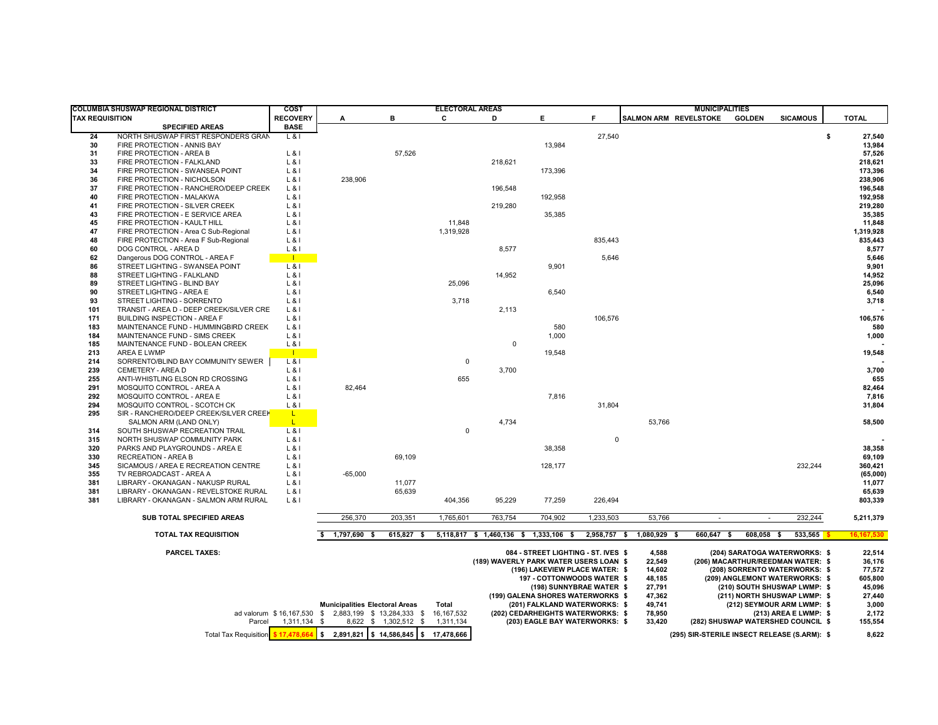|                        | COLUMBIA SHUSWAP REGIONAL DISTRICT                                | COST                     | <b>ELECTORAL AREAS</b>                                        |                            |             |                                        |                                                               |                                | <b>MUNICIPALITIES</b>          |            |               |                                                              |                  |
|------------------------|-------------------------------------------------------------------|--------------------------|---------------------------------------------------------------|----------------------------|-------------|----------------------------------------|---------------------------------------------------------------|--------------------------------|--------------------------------|------------|---------------|--------------------------------------------------------------|------------------|
| <b>TAX REQUISITION</b> |                                                                   | <b>RECOVERY</b>          | A                                                             | в                          | C           | D                                      | Е.                                                            | F.                             | SALMON ARM REVELSTOKE          |            | <b>GOLDEN</b> | <b>SICAMOUS</b>                                              | <b>TOTAL</b>     |
|                        | <b>SPECIFIED AREAS</b>                                            | <b>BASE</b>              |                                                               |                            |             |                                        |                                                               |                                |                                |            |               |                                                              |                  |
| 24                     | NORTH SHUSWAP FIRST RESPONDERS GRAN                               | $L$ & I                  |                                                               |                            |             |                                        |                                                               | 27,540                         |                                |            |               |                                                              | \$<br>27,540     |
| 30                     | FIRE PROTECTION - ANNIS BAY                                       |                          |                                                               |                            |             |                                        | 13,984                                                        |                                |                                |            |               |                                                              | 13,984           |
| 31                     | FIRE PROTECTION - AREA B                                          | $L$ &I                   |                                                               | 57,526                     |             |                                        |                                                               |                                |                                |            |               |                                                              | 57,526           |
| 33                     | FIRE PROTECTION - FALKLAND                                        | L & 8                    |                                                               |                            |             | 218,621                                |                                                               |                                |                                |            |               |                                                              | 218,621          |
| 34                     | FIRE PROTECTION - SWANSEA POINT                                   | $L$ &I                   |                                                               |                            |             |                                        | 173,396                                                       |                                |                                |            |               |                                                              | 173,396          |
| 36                     | FIRE PROTECTION - NICHOLSON                                       | $L$ &I                   | 238,906                                                       |                            |             |                                        |                                                               |                                |                                |            |               |                                                              | 238,906          |
| 37                     | FIRE PROTECTION - RANCHERO/DEEP CREEK                             | $L$ &I                   |                                                               |                            |             | 196,548                                |                                                               |                                |                                |            |               |                                                              | 196,548          |
| 40                     | FIRE PROTECTION - MALAKWA                                         | $L$ &I                   |                                                               |                            |             |                                        | 192,958                                                       |                                |                                |            |               |                                                              | 192,958          |
| 41                     | FIRE PROTECTION - SILVER CREEK                                    | $L$ &I                   |                                                               |                            |             | 219,280                                |                                                               |                                |                                |            |               |                                                              | 219,280          |
| 43                     | FIRE PROTECTION - E SERVICE AREA                                  | $L$ &I                   |                                                               |                            |             |                                        | 35,385                                                        |                                |                                |            |               |                                                              | 35,385           |
| 45                     | FIRE PROTECTION - KAULT HILL                                      | L & 1                    |                                                               |                            | 11,848      |                                        |                                                               |                                |                                |            |               |                                                              | 11,848           |
| 47                     | FIRE PROTECTION - Area C Sub-Regional                             | $L$ &I                   |                                                               |                            | 1,319,928   |                                        |                                                               |                                |                                |            |               |                                                              | 1,319,928        |
| 48<br>60               | FIRE PROTECTION - Area F Sub-Regional                             | L & I                    |                                                               |                            |             |                                        |                                                               | 835,443                        |                                |            |               |                                                              | 835,443          |
| 62                     | DOG CONTROL - AREA D                                              | $L$ &I<br>$\blacksquare$ |                                                               |                            |             | 8,577                                  |                                                               | 5,646                          |                                |            |               |                                                              | 8,577<br>5,646   |
| 86                     | Dangerous DOG CONTROL - AREA F<br>STREET LIGHTING - SWANSEA POINT | $L$ & I                  |                                                               |                            |             |                                        | 9,901                                                         |                                |                                |            |               |                                                              | 9,901            |
| 88                     | STREET LIGHTING - FALKLAND                                        | $L$ &I                   |                                                               |                            |             | 14,952                                 |                                                               |                                |                                |            |               |                                                              | 14,952           |
| 89                     | STREET LIGHTING - BLIND BAY                                       | $L$ &I                   |                                                               |                            | 25,096      |                                        |                                                               |                                |                                |            |               |                                                              | 25,096           |
| 90                     | STREET LIGHTING - AREA E                                          | L & I                    |                                                               |                            |             |                                        | 6,540                                                         |                                |                                |            |               |                                                              | 6,540            |
| 93                     | STREET LIGHTING - SORRENTO                                        | L & I                    |                                                               |                            | 3,718       |                                        |                                                               |                                |                                |            |               |                                                              | 3,718            |
| 101                    | TRANSIT - AREA D - DEEP CREEK/SILVER CRE                          | $L$ &I                   |                                                               |                            |             | 2,113                                  |                                                               |                                |                                |            |               |                                                              |                  |
| 171                    | <b>BUILDING INSPECTION - AREA F</b>                               | $L$ &I                   |                                                               |                            |             |                                        |                                                               | 106,576                        |                                |            |               |                                                              | 106,576          |
| 183                    | MAINTENANCE FUND - HUMMINGBIRD CREEK                              | $L$ &I                   |                                                               |                            |             |                                        | 580                                                           |                                |                                |            |               |                                                              | 580              |
| 184                    | MAINTENANCE FUND - SIMS CREEK                                     | $L$ &I                   |                                                               |                            |             |                                        | 1,000                                                         |                                |                                |            |               |                                                              | 1,000            |
| 185                    | MAINTENANCE FUND - BOLEAN CREEK                                   | $L$ &I                   |                                                               |                            |             | $\mathbf 0$                            |                                                               |                                |                                |            |               |                                                              |                  |
| 213                    | AREA E LWMP                                                       | $\blacksquare$           |                                                               |                            |             |                                        | 19,548                                                        |                                |                                |            |               |                                                              | 19,548           |
| 214                    | SORRENTO/BLIND BAY COMMUNITY SEWER                                | $L$ &I                   |                                                               |                            | $\Omega$    |                                        |                                                               |                                |                                |            |               |                                                              |                  |
| 239                    | CEMETERY - AREA D                                                 | $L$ &l                   |                                                               |                            |             | 3,700                                  |                                                               |                                |                                |            |               |                                                              | 3,700            |
| 255                    | ANTI-WHISTLING ELSON RD CROSSING                                  | $L$ &I                   |                                                               |                            | 655         |                                        |                                                               |                                |                                |            |               |                                                              | 655              |
| 291                    | MOSQUITO CONTROL - AREA A                                         | $L$ &I                   | 82,464                                                        |                            |             |                                        |                                                               |                                |                                |            |               |                                                              | 82,464           |
| 292                    | MOSQUITO CONTROL - AREA E                                         | $L$ &I                   |                                                               |                            |             |                                        | 7,816                                                         |                                |                                |            |               |                                                              | 7,816            |
| 294                    | MOSQUITO CONTROL - SCOTCH CK                                      | L81                      |                                                               |                            |             |                                        |                                                               | 31,804                         |                                |            |               |                                                              | 31,804           |
| 295                    | SIR - RANCHERO/DEEP CREEK/SILVER CREEK                            | L.                       |                                                               |                            |             |                                        |                                                               |                                |                                |            |               |                                                              |                  |
|                        | SALMON ARM (LAND ONLY)                                            | L.                       |                                                               |                            |             | 4,734                                  |                                                               |                                | 53,766                         |            |               |                                                              | 58,500           |
| 314                    | SOUTH SHUSWAP RECREATION TRAIL                                    | $L$ &I                   |                                                               |                            | $\mathbf 0$ |                                        |                                                               |                                |                                |            |               |                                                              |                  |
| 315                    | NORTH SHUSWAP COMMUNITY PARK                                      | $L$ &I                   |                                                               |                            |             |                                        |                                                               | $\mathbf 0$                    |                                |            |               |                                                              |                  |
| 320<br>330             | PARKS AND PLAYGROUNDS - AREA E<br><b>RECREATION - AREA B</b>      | $L$ &I<br>$L$ &I         |                                                               | 69,109                     |             |                                        | 38,358                                                        |                                |                                |            |               |                                                              | 38,358<br>69,109 |
| 345                    | SICAMOUS / AREA E RECREATION CENTRE                               | L & I                    |                                                               |                            |             |                                        | 128,177                                                       |                                |                                |            |               | 232,244                                                      | 360,421          |
| 355                    | TV REBROADCAST - AREA A                                           | $L$ &I                   | $-65,000$                                                     |                            |             |                                        |                                                               |                                |                                |            |               |                                                              | (65,000)         |
| 381                    | LIBRARY - OKANAGAN - NAKUSP RURAL                                 | $L$ &I                   |                                                               | 11,077                     |             |                                        |                                                               |                                |                                |            |               |                                                              | 11,077           |
| 381                    | LIBRARY - OKANAGAN - REVELSTOKE RURAL                             | $L$ &I                   |                                                               | 65,639                     |             |                                        |                                                               |                                |                                |            |               |                                                              | 65,639           |
| 381                    | LIBRARY - OKANAGAN - SALMON ARM RURAL                             | $L$ &I                   |                                                               |                            | 404,356     | 95,229                                 | 77,259                                                        | 226,494                        |                                |            |               |                                                              | 803,339          |
|                        |                                                                   |                          |                                                               |                            |             |                                        |                                                               |                                |                                |            |               |                                                              |                  |
|                        | SUB TOTAL SPECIFIED AREAS                                         |                          | 256,370                                                       | 203,351                    | 1,765,601   | 763,754                                | 704.902                                                       | 1,233,503                      | 53,766                         | $\sim$     | $\sim$        | 232,244                                                      | 5,211,379        |
|                        | TOTAL TAX REQUISITION                                             |                          | 1,797,690 \$                                                  | $615,827$ \$               |             | 5,118,817 \$ 1,460,136 \$ 1,333,106 \$ |                                                               | 2,958,757 \$                   | 1,080,929 \$                   | 660,647 \$ | 608,058 \$    | 533,565                                                      | 16, 167, 530     |
|                        |                                                                   |                          |                                                               |                            |             |                                        |                                                               |                                |                                |            |               |                                                              |                  |
|                        | <b>PARCEL TAXES:</b>                                              |                          |                                                               |                            |             |                                        | 084 - STREET LIGHTING - ST. IVES \$                           |                                | 4,588                          |            |               | (204) SARATOGA WATERWORKS: \$                                | 22,514           |
|                        |                                                                   |                          |                                                               |                            |             | (189) WAVERLY PARK WATER USERS LOAN \$ |                                                               |                                | 22,549                         |            |               | (206) MACARTHUR/REEDMAN WATER: \$                            | 36,176           |
|                        |                                                                   |                          |                                                               |                            |             |                                        |                                                               | (196) LAKEVIEW PLACE WATER: \$ | 14,602                         |            |               | (208) SORRENTO WATERWORKS: \$                                | 77,572           |
|                        |                                                                   |                          |                                                               | 197 - COTTONWOODS WATER \$ |             | 48,185                                 |                                                               |                                | (209) ANGLEMONT WATERWORKS: \$ | 605,800    |               |                                                              |                  |
|                        |                                                                   |                          |                                                               |                            |             |                                        | (198) SUNNYBRAE WATER \$<br>(199) GALENA SHORES WATERWORKS \$ |                                | 27,791<br>47,362               |            |               | (210) SOUTH SHUSWAP LWMP: \$<br>(211) NORTH SHUSWAP LWMP: \$ | 45,096<br>27,440 |
|                        |                                                                   |                          | <b>Municipalities Electoral Areas</b>                         |                            | Total       |                                        | (201) FALKLAND WATERWORKS: \$                                 |                                | 49,741                         |            |               | (212) SEYMOUR ARM LWMP: \$                                   | 3,000            |
|                        |                                                                   |                          | ad valorum \$16,167,530 \$2,883,199 \$13,284,333 \$16,167,532 |                            |             |                                        | (202) CEDARHEIGHTS WATERWORKS: \$                             |                                | 78,950                         |            |               | (213) AREA E LWMP: \$                                        | 2,172            |
|                        | Parcel                                                            | 1,311,134 \$             |                                                               | 8,622 \$ 1,302,512 \$      | 1,311,134   |                                        | (203) EAGLE BAY WATERWORKS: \$                                |                                | 33,420                         |            |               | (282) SHUSWAP WATERSHED COUNCIL \$                           | 155,554          |
|                        | <b>Total Tax Requisition</b>                                      | \$17,478,664             | ls.<br>2,891,821 \$14,586,845 \$17,478,666                    |                            |             |                                        |                                                               |                                |                                |            |               | (295) SIR-STERILE INSECT RELEASE (S.ARM): \$                 | 8.622            |
|                        |                                                                   |                          |                                                               |                            |             |                                        |                                                               |                                |                                |            |               |                                                              |                  |